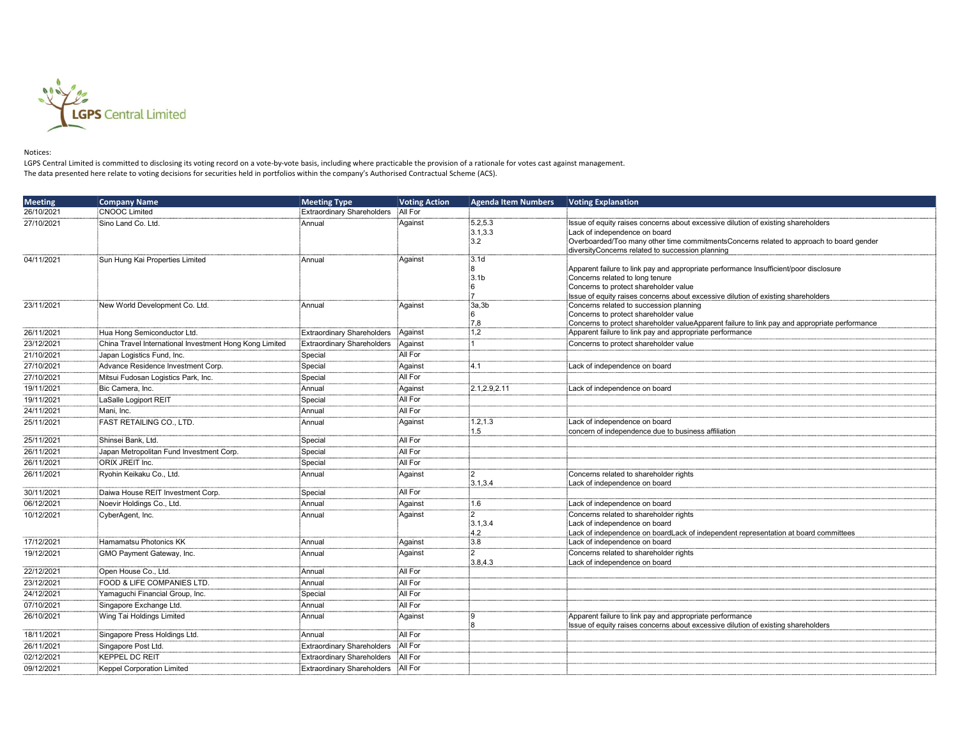

## Notices:

LGPS Central Limited is committed to disclosing its voting record on a vote-by-vote basis, including where practicable the provision of a rationale for votes cast against management. The data presented here relate to voting decisions for securities held in portfolios within the company's Authorised Contractual Scheme (ACS).

| <b>Meeting</b> | <b>Company Name</b>                                     | <b>Meeting Type</b>               | <b>Voting Action</b> | <b>Agenda Item Numbers</b> | <b>Voting Explanation</b>                                                                     |
|----------------|---------------------------------------------------------|-----------------------------------|----------------------|----------------------------|-----------------------------------------------------------------------------------------------|
| 26/10/2021     | <b>CNOOC Limited</b>                                    | <b>Extraordinary Shareholders</b> | All For              |                            |                                                                                               |
| 27/10/2021     | Sino Land Co. Ltd.                                      | Annual                            | Against              | 5.2.5.3                    | Issue of equity raises concerns about excessive dilution of existing shareholders             |
|                |                                                         |                                   |                      | 3.1, 3.3                   | Lack of independence on board                                                                 |
|                |                                                         |                                   |                      | :3.2                       | Overboarded/Too many other time commitmentsConcerns related to approach to board gender       |
| 04/11/2021     | Sun Hung Kai Properties Limited                         | Annual                            | Against              | 3.1d                       | diversityConcerns related to succession planning                                              |
|                |                                                         |                                   |                      | :8                         | :<br>Apparent failure to link pay and appropriate performance Insufficient/poor disclosure    |
|                |                                                         |                                   |                      | 3.1b                       | Concerns related to long tenure                                                               |
|                |                                                         |                                   |                      | :6                         | Concerns to protect shareholder value                                                         |
|                |                                                         |                                   |                      |                            | Issue of equity raises concerns about excessive dilution of existing shareholders             |
| 23/11/2021     | New World Development Co. Ltd.                          | Annual                            | Against              | 3a,3b                      | Concerns related to succession planning<br>Concerns to protect shareholder value              |
|                |                                                         |                                   |                      | 7.8                        | Concerns to protect shareholder valueApparent failure to link pay and appropriate performance |
| 26/11/2021     | Hua Hong Semiconductor Ltd.                             | <b>Extraordinary Shareholders</b> | Against              | 1,2                        | Apparent failure to link pay and appropriate performance                                      |
| 23/12/2021     | China Travel International Investment Hong Kong Limited | <b>Extraordinary Shareholders</b> | Against              |                            | Concerns to protect shareholder value                                                         |
| 21/10/2021     | Japan Logistics Fund, Inc.                              | Special                           | All For              |                            |                                                                                               |
| 27/10/2021     | Advance Residence Investment Corp.                      | Special                           | Aqainst              | :4.1                       | Lack of independence on board                                                                 |
| 27/10/2021     | Mitsui Fudosan Logistics Park, Inc.                     | Special                           | All For              |                            |                                                                                               |
| 19/11/2021     | Bic Camera, Inc.                                        | Annual                            | Aqainst              | 2.1,2.9,2.11               | Lack of independence on board                                                                 |
| 19/11/2021     | LaSalle Logiport REIT                                   | Special                           | All For              |                            |                                                                                               |
| 24/11/2021     | Mani, Inc.                                              | Annual                            | All For              |                            |                                                                                               |
| 25/11/2021     | FAST RETAILING CO., LTD.                                | Annual                            | Aqainst              | 1.2, 1.3                   | Lack of independence on board                                                                 |
|                |                                                         |                                   |                      | 1.5                        | concern of independence due to business affiliation                                           |
| 25/11/2021     | Shinsei Bank, Ltd.                                      | Special                           | All For              |                            |                                                                                               |
| 26/11/2021     | Japan Metropolitan Fund Investment Corp.                | Special                           | All For              |                            |                                                                                               |
| 26/11/2021     | ORIX JREIT Inc.                                         | Special                           | All For              |                            |                                                                                               |
| 26/11/2021     | Ryohin Keikaku Co., Ltd.                                | Annual                            | Against              | :2                         | Concerns related to shareholder rights                                                        |
|                |                                                         |                                   | All For              | 3.1,3.4                    | Lack of independence on board                                                                 |
| 30/11/2021     | Daiwa House REIT Investment Corp.                       | Special                           |                      | 1.6                        |                                                                                               |
| 06/12/2021     | Noevir Holdings Co., Ltd.                               | Annual                            | Aqainst              |                            | Lack of independence on board                                                                 |
| 10/12/2021     | CyberAgent, Inc.                                        | Annual                            | Against              | :2<br>3.1,3.4              | Concerns related to shareholder rights<br>Lack of independence on board                       |
|                |                                                         |                                   |                      | 4.2                        | Lack of independence on boardLack of independent representation at board committees           |
| 17/12/2021     | Hamamatsu Photonics KK                                  | Annual                            | Against              | :3.8                       | Lack of independence on board                                                                 |
| 19/12/2021     | GMO Payment Gateway, Inc.                               | Annual                            | Against              | :2                         | Concerns related to shareholder rights                                                        |
|                |                                                         |                                   |                      | 3.8,4.3                    | Lack of independence on board                                                                 |
| 22/12/2021     | Open House Co., Ltd.                                    | Annual                            | All For              |                            |                                                                                               |
| 23/12/2021     | FOOD & LIFE COMPANIES LTD.                              | Annual                            | All For              |                            |                                                                                               |
| 24/12/2021     | Yamaguchi Financial Group, Inc.                         | Special                           | All For              |                            |                                                                                               |
| 07/10/2021     | Singapore Exchange Ltd.                                 | Annual                            | All For              |                            |                                                                                               |
| 26/10/2021     | Wing Tai Holdings Limited                               | Annual                            | :Aqainst             | ۱g                         | Apparent failure to link pay and appropriate performance                                      |
| 18/11/2021     | Singapore Press Holdings Ltd.                           | Annual                            | All For              |                            | Issue of equity raises concerns about excessive dilution of existing shareholders             |
| 26/11/2021     | Singapore Post Ltd.                                     | <b>Extraordinary Shareholders</b> | All For              |                            |                                                                                               |
| 02/12/2021     | KEPPEL DC REIT                                          | Extraordinary Shareholders        | All For              |                            |                                                                                               |
| 09/12/2021     |                                                         | <b>Extraordinary Shareholders</b> | All For              |                            |                                                                                               |
|                | <b>Keppel Corporation Limited</b>                       |                                   |                      |                            |                                                                                               |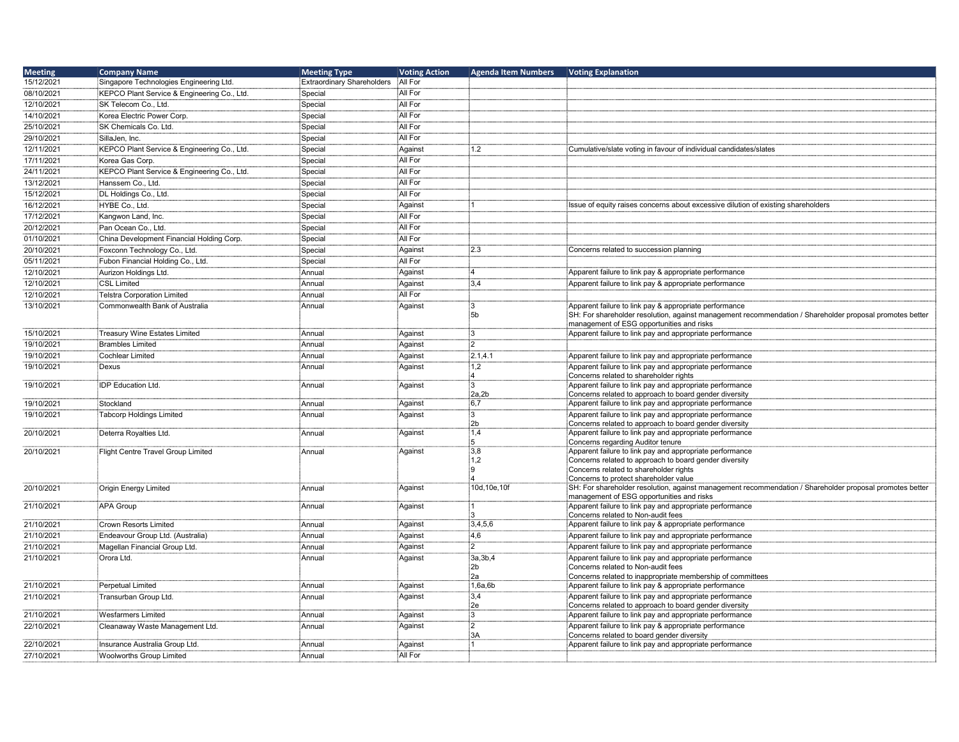| <b>Meeting</b> | <b>Company Name</b>                         | <b>Meeting Type</b>               | <b>Voting Action</b> | <b>Agenda Item Numbers</b>  | <b>Voting Explanation</b>                                                                                                                             |
|----------------|---------------------------------------------|-----------------------------------|----------------------|-----------------------------|-------------------------------------------------------------------------------------------------------------------------------------------------------|
| 15/12/2021     | Singapore Technologies Engineering Ltd.     | <b>Extraordinary Shareholders</b> | All For              |                             |                                                                                                                                                       |
| 08/10/2021     | KEPCO Plant Service & Engineering Co., Ltd. | Special                           | All For              |                             |                                                                                                                                                       |
| 12/10/2021     | SK Telecom Co., Ltd.                        | Special                           | All For              |                             |                                                                                                                                                       |
| 14/10/2021     | Korea Electric Power Corp.                  | Special                           | All For              |                             |                                                                                                                                                       |
| 25/10/2021     | SK Chemicals Co. Ltd.                       | Special                           | All For              |                             |                                                                                                                                                       |
|                |                                             |                                   | All For              |                             |                                                                                                                                                       |
| 29/10/2021     | SillaJen, Inc.                              | Special                           |                      |                             |                                                                                                                                                       |
| 12/11/2021     | KEPCO Plant Service & Engineering Co., Ltd. | Special                           | Against              | 1.2                         | Cumulative/slate voting in favour of individual candidates/slates                                                                                     |
| 17/11/2021     | Korea Gas Corp.                             | Special                           | All For              |                             |                                                                                                                                                       |
| 24/11/2021     | KEPCO Plant Service & Engineering Co., Ltd. | Special                           | All For              |                             |                                                                                                                                                       |
| 13/12/2021     | Hanssem Co., Ltd.                           | Special                           | All For              |                             |                                                                                                                                                       |
| 15/12/2021     | DL Holdings Co., Ltd.                       | Special                           | All For              |                             |                                                                                                                                                       |
| 16/12/2021     | HYBE Co., Ltd.                              | Special                           | Against              |                             | Issue of equity raises concerns about excessive dilution of existing shareholders                                                                     |
| 17/12/2021     | Kangwon Land, Inc.                          | Special                           | All For              |                             |                                                                                                                                                       |
| 20/12/2021     | Pan Ocean Co., Ltd.                         | Special                           | All For              |                             |                                                                                                                                                       |
| 01/10/2021     | China Development Financial Holding Corp.   | Special                           | All For              |                             |                                                                                                                                                       |
| 20/10/2021     | Foxconn Technology Co., Ltd.                | Special                           | Against              | 2.3                         | Concerns related to succession planning                                                                                                               |
| 05/11/2021     | Fubon Financial Holding Co., Ltd.           | Special                           | All For              |                             |                                                                                                                                                       |
| 12/10/2021     | Aurizon Holdings Ltd.                       | Annual                            | Against              | :4                          | Apparent failure to link pay & appropriate performance                                                                                                |
| 12/10/2021     | <b>CSL Limited</b>                          | Annual                            |                      | 3,4                         | Apparent failure to link pay & appropriate performance                                                                                                |
|                |                                             |                                   | Against              |                             |                                                                                                                                                       |
| 12/10/2021     | Telstra Corporation Limited                 | Annual                            | All For              |                             |                                                                                                                                                       |
| 13/10/2021     | Commonwealth Bank of Australia              | Annual                            | Against              | iЗ                          | Apparent failure to link pay & appropriate performance                                                                                                |
|                |                                             |                                   |                      | :5b                         | SH: For shareholder resolution, against management recommendation / Shareholder proposal promotes better<br>management of ESG opportunities and risks |
| 15/10/2021     | Treasury Wine Estates Limited               | Annual                            | Against              | :3                          | Apparent failure to link pay and appropriate performance                                                                                              |
| 19/10/2021     | <b>Brambles Limited</b>                     | Annual                            | Against              | :2                          |                                                                                                                                                       |
| 19/10/2021     | Cochlear Limited                            | Annual                            | Against              | 2.1, 4.1                    | Apparent failure to link pay and appropriate performance                                                                                              |
|                | :Dexus                                      | Annual                            | Against              | 1,2                         | Apparent failure to link pay and appropriate performance                                                                                              |
| 19/10/2021     |                                             |                                   |                      |                             | Concerns related to shareholder rights                                                                                                                |
| 19/10/2021     | <b>IDP Education Ltd.</b>                   | Annual                            | Against              | :3                          | Apparent failure to link pay and appropriate performance                                                                                              |
|                |                                             |                                   |                      | 2a,2b                       | Concerns related to approach to board gender diversity                                                                                                |
| 19/10/2021     | Stockland                                   | Annual                            | Against              | 6.7                         | Apparent failure to link pay and appropriate performance                                                                                              |
| 19/10/2021     | Tabcorp Holdings Limited                    | Annual                            | Against              | :3                          | Apparent failure to link pay and appropriate performance                                                                                              |
|                |                                             |                                   |                      | 2b                          | Concerns related to approach to board gender diversity                                                                                                |
| 20/10/2021     | Deterra Royalties Ltd.                      | Annual                            | Against              | 1,4                         | Apparent failure to link pay and appropriate performance                                                                                              |
| 20/10/2021     |                                             | Annual                            | Against              | 5<br>3.8                    | Concerns regarding Auditor tenure<br>Apparent failure to link pay and appropriate performance                                                         |
|                | Flight Centre Travel Group Limited          |                                   |                      | 1,2                         | Concerns related to approach to board gender diversity                                                                                                |
|                |                                             |                                   |                      | :9                          | Concerns related to shareholder rights                                                                                                                |
|                |                                             |                                   |                      |                             | Concerns to protect shareholder value                                                                                                                 |
| 20/10/2021     | Origin Energy Limited                       | Annual                            | Against              | 10d.10e.10f                 | SH: For shareholder resolution, against management recommendation / Shareholder proposal promotes better                                              |
|                |                                             |                                   |                      |                             | management of ESG opportunities and risks                                                                                                             |
| 21/10/2021     | <b>APA Group</b>                            | Annual                            | Against              |                             | Apparent failure to link pay and appropriate performance                                                                                              |
| 21/10/2021     | <b>Crown Resorts Limited</b>                | Annual                            | Against              | 3,4,5,6                     | Concerns related to Non-audit fees<br>Apparent failure to link pay & appropriate performance                                                          |
| 21/10/2021     |                                             | Annual                            |                      | 4,6                         |                                                                                                                                                       |
|                | Endeavour Group Ltd. (Australia)            |                                   | Against              | :2                          | Apparent failure to link pay and appropriate performance                                                                                              |
| 21/10/2021     | Magellan Financial Group Ltd.               | Annual                            | Against              |                             | Apparent failure to link pay and appropriate performance                                                                                              |
| 21/10/2021     | Orora Ltd.                                  | Annual                            | Against              | <sup>∶</sup> 3a,3b,4<br>∶2b | Apparent failure to link pay and appropriate performance<br>Concerns related to Non-audit fees                                                        |
|                |                                             |                                   |                      | 2a                          | Concerns related to inappropriate membership of committees                                                                                            |
| 21/10/2021     | Perpetual Limited                           | Annual                            | Against              | 1,6a,6b                     | Apparent failure to link pay & appropriate performance                                                                                                |
| 21/10/2021     | Transurban Group Ltd.                       | Annual                            | Against              | 3.4                         | Apparent failure to link pay and appropriate performance                                                                                              |
|                |                                             |                                   |                      | ∶2e                         | Concerns related to approach to board gender diversity                                                                                                |
| 21/10/2021     | <b>Wesfarmers Limited</b>                   | Annual                            | Against              | iЗ                          | Apparent failure to link pay and appropriate performance                                                                                              |
| 22/10/2021     | Cleanaway Waste Management Ltd.             | Annual                            | Against              | :2                          | Apparent failure to link pay & appropriate performance                                                                                                |
|                |                                             |                                   |                      | 3A                          | Concerns related to board gender diversity                                                                                                            |
| 22/10/2021     | Insurance Australia Group Ltd.              | Annual                            | Against              | ່:1                         | Apparent failure to link pay and appropriate performance                                                                                              |
| 27/10/2021     | <b>Woolworths Group Limited</b>             | Annual                            | All For              |                             |                                                                                                                                                       |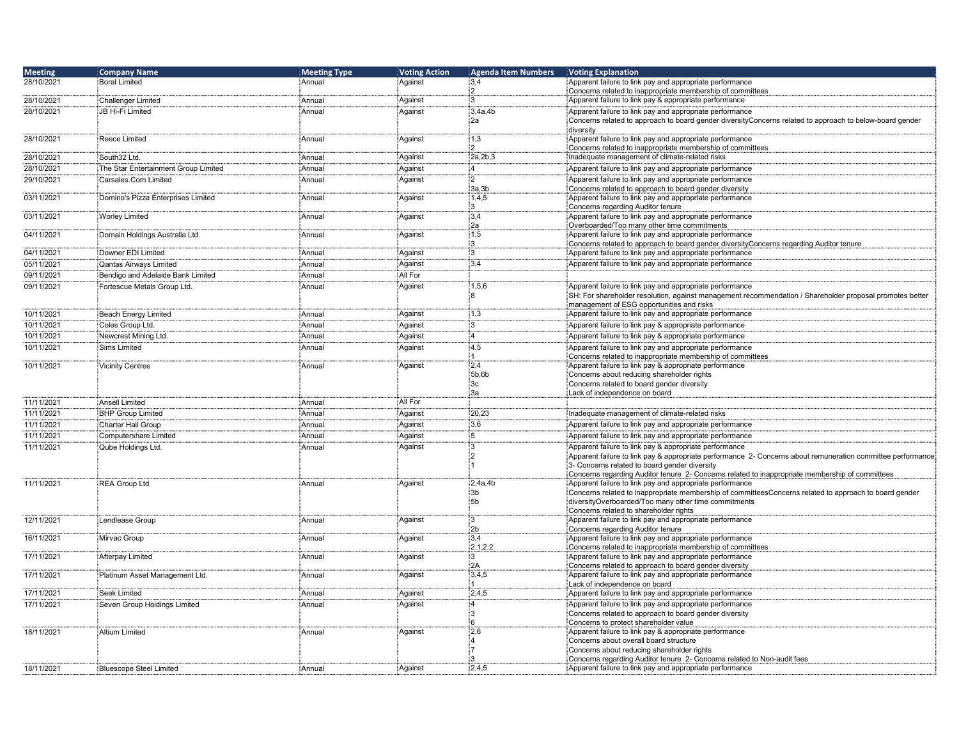| <b>Meeting</b> | <b>Company Name</b>                  | <b>Meeting Type</b> | <b>Voting Action</b> | <b>Agenda Item Numbers</b> | Voting Explanation                                                                                                                                                   |
|----------------|--------------------------------------|---------------------|----------------------|----------------------------|----------------------------------------------------------------------------------------------------------------------------------------------------------------------|
| 28/10/2021     | <b>Boral Limited</b>                 | Annual              | Against              | 3,4                        | Apparent failure to link pay and appropriate performance                                                                                                             |
|                |                                      |                     |                      | :2                         | Concerns related to inappropriate membership of committees                                                                                                           |
| 28/10/2021     | <b>Challenger Limited</b>            | Annual              | Against              | :3                         | Apparent failure to link pay & appropriate performance                                                                                                               |
| 28/10/2021     | JB Hi-Fi Limited                     | Annual              | Against              | 3,4a,4b<br>2a              | Apparent failure to link pay and appropriate performance<br>Concerns related to approach to board gender diversityConcerns related to approach to below-board gender |
|                |                                      |                     |                      |                            | diversity                                                                                                                                                            |
| 28/10/2021     | <b>Reece Limited</b>                 | Annual              | Against              | 1,3                        | Apparent failure to link pay and appropriate performance                                                                                                             |
|                |                                      |                     |                      | :2                         | Concerns related to inappropriate membership of committees                                                                                                           |
| 28/10/2021     | South32 Ltd.                         | Annual              | Against              | 2a, 2b, 3                  | Inadequate management of climate-related risks                                                                                                                       |
| 28/10/2021     | The Star Entertainment Group Limited | Annual              | Against              | :4                         | Apparent failure to link pay and appropriate performance                                                                                                             |
| 29/10/2021     | Carsales.Com Limited                 | Annual              | Against              | $\overline{2}$             | Apparent failure to link pay and appropriate performance                                                                                                             |
| 03/11/2021     | Domino's Pizza Enterprises Limited   | Annual              | Against              | 3a,3b<br>1,4,5             | Concerns related to approach to board gender diversity<br>Apparent failure to link pay and appropriate performance                                                   |
|                |                                      |                     |                      | ١R.                        | Concerns regarding Auditor tenure                                                                                                                                    |
| 03/11/2021     | <b>Worley Limited</b>                | Annual              | Against              | 3,4                        | Apparent failure to link pay and appropriate performance                                                                                                             |
|                |                                      |                     |                      | 2a                         | Overboarded/Too many other time commitments                                                                                                                          |
| 04/11/2021     | Domain Holdings Australia Ltd.       | Annual              | Against              | 1,5<br>3                   | Apparent failure to link pay and appropriate performance                                                                                                             |
| 04/11/2021     | Downer EDI Limited                   | Annual              | Against              | ١R.                        | Concerns related to approach to board gender diversityConcerns regarding Auditor tenure<br>Apparent failure to link pay and appropriate performance                  |
| 05/11/2021     | Qantas Airwavs Limited               | Annual              | Against              | 3.4                        | Apparent failure to link pay and appropriate performance                                                                                                             |
| 09/11/2021     | Bendigo and Adelaide Bank Limited    | Annual              | All For              |                            |                                                                                                                                                                      |
| 09/11/2021     | Fortescue Metals Group Ltd.          | Annual              | Against              | 1,5,6                      | Apparent failure to link pay and appropriate performance                                                                                                             |
|                |                                      |                     |                      |                            | SH: For shareholder resolution, against management recommendation / Shareholder proposal promotes better                                                             |
|                |                                      |                     |                      |                            | management of ESG opportunities and risks                                                                                                                            |
| 10/11/2021     | Beach Energy Limited                 | Annual              | Against              | 1,3                        | Apparent failure to link pay and appropriate performance                                                                                                             |
| 10/11/2021     | Coles Group Ltd.                     | Annual              | Against              | $\overline{3}$             | Apparent failure to link pay & appropriate performance                                                                                                               |
| 10/11/2021     | Newcrest Mining Ltd.                 | Annual              | Against              | :4                         | Apparent failure to link pay & appropriate performance                                                                                                               |
| 10/11/2021     | <b>Sims Limited</b>                  | Annual              | Against              | 4,5                        | Apparent failure to link pay and appropriate performance                                                                                                             |
|                |                                      |                     |                      |                            | Concerns related to inappropriate membership of committees                                                                                                           |
| 10/11/2021     | <b>Vicinity Centres</b>              | Annual              | Against              | 2,4<br>5b,6b               | Apparent failure to link pay & appropriate performance<br>Concerns about reducing shareholder rights                                                                 |
|                |                                      |                     |                      | 3с                         | Concerns related to board gender diversity                                                                                                                           |
|                |                                      |                     |                      | і3а                        | Lack of independence on board                                                                                                                                        |
| 11/11/2021     | <b>Ansell Limited</b>                | Annual              | All For              |                            |                                                                                                                                                                      |
| 11/11/2021     | <b>BHP Group Limited</b>             | Annual              | Against              | 20,23                      | Inadequate management of climate-related risks                                                                                                                       |
| 11/11/2021     | Charter Hall Group                   | Annual              | Against              | 3,6                        | Apparent failure to link pay and appropriate performance                                                                                                             |
| 11/11/2021     | Computershare Limited                | Annual              | Against              | 5                          | Apparent failure to link pay and appropriate performance                                                                                                             |
| 11/11/2021     | Qube Holdings Ltd.                   | Annual              | Against              | іЗ                         | Apparent failure to link pay & appropriate performance                                                                                                               |
|                |                                      |                     |                      | :2<br>: 1                  | Apparent failure to link pay & appropriate performance 2- Concerns about remuneration committee performance                                                          |
|                |                                      |                     |                      |                            | 3- Concerns related to board gender diversity<br>Concerns regarding Auditor tenure 2- Concerns related to inappropriate membership of committees                     |
| 11/11/2021     | <b>REA Group Ltd</b>                 | Annual              | Against              | 2,4a,4b                    | Apparent failure to link pay and appropriate performance                                                                                                             |
|                |                                      |                     |                      | 3b                         | Concerns related to inappropriate membership of committeesConcerns related to approach to board gender                                                               |
|                |                                      |                     |                      | ∶5b                        | diversityOverboarded/Too many other time commitments                                                                                                                 |
|                |                                      |                     |                      | :3                         | Concerns related to shareholder rights                                                                                                                               |
| 12/11/2021     | Lendlease Group                      | Annual              | Against              | ∶2b                        | Apparent failure to link pay and appropriate performance<br>Concerns regarding Auditor tenure                                                                        |
| 16/11/2021     | Mirvac Group                         | Annual              | Against              | 3.4                        | Apparent failure to link pay and appropriate performance                                                                                                             |
|                |                                      |                     |                      | 2.1,2.2                    | Concerns related to inappropriate membership of committees                                                                                                           |
| 17/11/2021     | Afterpay Limited                     | Annual              | Against              | 3                          | Apparent failure to link pay and appropriate performance                                                                                                             |
| 17/11/2021     |                                      | Annual              | Against              | 2A<br>3,4,5                | Concerns related to approach to board gender diversity<br>Apparent failure to link pay and appropriate performance                                                   |
|                | Platinum Asset Management Ltd.       |                     |                      |                            | Lack of independence on board                                                                                                                                        |
| 17/11/2021     | Seek Limited                         | Annual              | Against              | 2,4,5                      | Apparent failure to link pay and appropriate performance                                                                                                             |
| 17/11/2021     | Seven Group Holdings Limited         | Annual              | Against              | :4                         | Apparent failure to link pay and appropriate performance                                                                                                             |
|                |                                      |                     |                      | :3                         | Concerns related to approach to board gender diversity                                                                                                               |
|                |                                      |                     |                      | 6                          | Concerns to protect shareholder value                                                                                                                                |
| 18/11/2021     | <b>Altium Limited</b>                | Annual              | Against              | 2.6                        | Apparent failure to link pay & appropriate performance<br>Concerns about overall board structure                                                                     |
|                |                                      |                     |                      |                            | Concerns about reducing shareholder rights                                                                                                                           |
|                |                                      |                     |                      | iЗ                         | Concerns regarding Auditor tenure 2- Concerns related to Non-audit fees                                                                                              |
| 18/11/2021     | <b>Bluescope Steel Limited</b>       | Annual              | Against              | 2.4.5                      | Apparent failure to link pay and appropriate performance                                                                                                             |
|                |                                      |                     |                      |                            |                                                                                                                                                                      |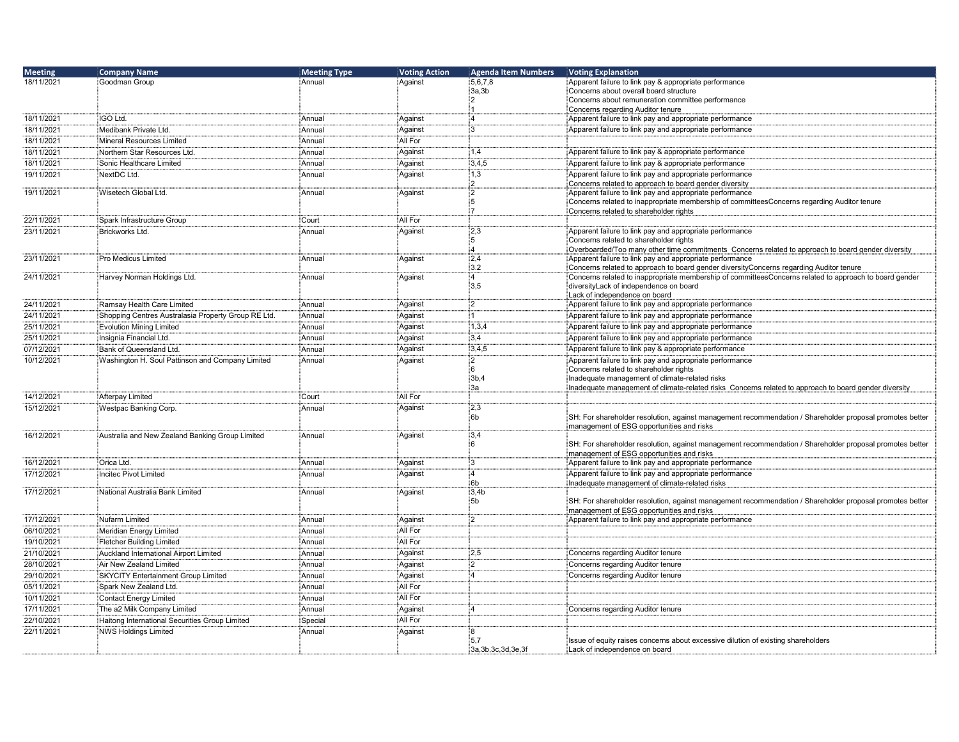| <b>Meeting</b> | <b>Company Name</b>                                 | <b>Meeting Type</b> | <b>Voting Action</b> | <b>Agenda Item Numbers</b> | Voting Explanation                                                                                                                                  |
|----------------|-----------------------------------------------------|---------------------|----------------------|----------------------------|-----------------------------------------------------------------------------------------------------------------------------------------------------|
| 18/11/2021     | iGoodman Group                                      | Annual              | Against              | 5,6,7,8                    | Apparent failure to link pay & appropriate performance                                                                                              |
|                |                                                     |                     |                      | ∃3a,3b                     | Concerns about overall board structure                                                                                                              |
|                |                                                     |                     |                      |                            | Concerns about remuneration committee performance                                                                                                   |
|                |                                                     |                     |                      |                            | Concerns regarding Auditor tenure                                                                                                                   |
| 18/11/2021     | <b>IGO Ltd.</b>                                     | Annual              | Against              | -4                         | Apparent failure to link pay and appropriate performance                                                                                            |
| 18/11/2021     | Medibank Private Ltd.                               | Annual              | Against              | :3                         | Apparent failure to link pay and appropriate performance                                                                                            |
| 18/11/2021     | Mineral Resources Limited                           | Annual              | All For              |                            |                                                                                                                                                     |
| 18/11/2021     | Northern Star Resources Ltd.                        | Annual              | Against              | 1.4                        | Apparent failure to link pay & appropriate performance                                                                                              |
| 18/11/2021     | Sonic Healthcare Limited                            | Annual              | Against              | 3,4,5                      | Apparent failure to link pay & appropriate performance                                                                                              |
| 19/11/2021     | NextDC Ltd.                                         | Annual              | Against              | 1,3                        | Apparent failure to link pay and appropriate performance                                                                                            |
|                |                                                     |                     |                      | 12                         | Concerns related to approach to board gender diversity                                                                                              |
| 19/11/2021     | Wisetech Global Ltd.                                | Annual              | Against              | :2                         | Apparent failure to link pay and appropriate performance                                                                                            |
|                |                                                     |                     |                      | i5                         | Concerns related to inappropriate membership of committeesConcerns regarding Auditor tenure                                                         |
|                |                                                     |                     |                      |                            | Concerns related to shareholder rights                                                                                                              |
| 22/11/2021     | Spark Infrastructure Group                          | Court               | All For              |                            |                                                                                                                                                     |
| 23/11/2021     | Brickworks Ltd.                                     | Annual              | Against              | $\frac{1}{2}$ .3           | Apparent failure to link pay and appropriate performance                                                                                            |
|                |                                                     |                     |                      | :5                         | Concerns related to shareholder rights                                                                                                              |
|                |                                                     |                     |                      |                            | Overboarded/Too many other time commitments Concerns related to approach to board gender diversity                                                  |
| 23/11/2021     | Pro Medicus Limited                                 | Annual              | Against              | 2,4<br>:3.2                | Apparent failure to link pay and appropriate performance<br>Concerns related to approach to board gender diversityConcerns regarding Auditor tenure |
| 24/11/2021     | Harvey Norman Holdings Ltd.                         | Annual              | Against              | :4                         | Concerns related to inappropriate membership of committeesConcerns related to approach to board gender                                              |
|                |                                                     |                     |                      | 3.5                        | diversityLack of independence on board                                                                                                              |
|                |                                                     |                     |                      |                            | Lack of independence on board                                                                                                                       |
| 24/11/2021     | Ramsay Health Care Limited                          | Annual              | Aqainst              | :2                         | Apparent failure to link pay and appropriate performance                                                                                            |
| 24/11/2021     | Shopping Centres Australasia Property Group RE Ltd. | Annual              | Against              | i 1                        | Apparent failure to link pay and appropriate performance                                                                                            |
| 25/11/2021     | <b>Evolution Mining Limited</b>                     | Annual              | Against              | 1,3,4                      | Apparent failure to link pay and appropriate performance                                                                                            |
| 25/11/2021     | Insignia Financial Ltd.                             | Annual              | Against              | $\overline{3.4}$           | Apparent failure to link pay and appropriate performance                                                                                            |
|                |                                                     |                     |                      |                            |                                                                                                                                                     |
| 07/12/2021     | Bank of Queensland Ltd.                             | Annual              | Against              | 3,4,5                      | Apparent failure to link pay & appropriate performance                                                                                              |
| 10/12/2021     | Washington H. Soul Pattinson and Company Limited    | Annual              | Against              | $^{12}$                    | Apparent failure to link pay and appropriate performance                                                                                            |
|                |                                                     |                     |                      | :6<br>3b,4                 | Concerns related to shareholder rights<br>Inadequate management of climate-related risks                                                            |
|                |                                                     |                     |                      | за                         | Inadequate management of climate-related risks Concerns related to approach to board gender diversity                                               |
| 14/12/2021     | Afterpay Limited                                    | Court               | All For              |                            |                                                                                                                                                     |
| 15/12/2021     | Westpac Banking Corp.                               | Annual              | Against              | 2,3                        |                                                                                                                                                     |
|                |                                                     |                     |                      | ÷6b                        | SH: For shareholder resolution, against management recommendation / Shareholder proposal promotes better                                            |
|                |                                                     |                     |                      |                            | management of ESG opportunities and risks                                                                                                           |
| 16/12/2021     | Australia and New Zealand Banking Group Limited     | Annual              | Against              | :3,4                       |                                                                                                                                                     |
|                |                                                     |                     |                      | ะค                         | SH: For shareholder resolution, against management recommendation / Shareholder proposal promotes better                                            |
|                |                                                     |                     |                      |                            | management of ESG opportunities and risks                                                                                                           |
| 16/12/2021     | Orica Ltd.                                          | Annual              | Against              | із.                        | Apparent failure to link pay and appropriate performance                                                                                            |
| 17/12/2021     | <b>Incitec Pivot Limited</b>                        | Annual              | Against              | :4                         | Apparent failure to link pay and appropriate performance                                                                                            |
|                |                                                     |                     |                      | ∲6b                        | Inadequate management of climate-related risks                                                                                                      |
| 17/12/2021     | National Australia Bank Limited                     | Annual              | Against              | 3,4b<br>∶5b                | SH: For shareholder resolution, against management recommendation / Shareholder proposal promotes better                                            |
|                |                                                     |                     |                      |                            | management of ESG opportunities and risks                                                                                                           |
| 17/12/2021     | Nufarm Limited                                      | Annual              | Aqainst              | :2                         | Apparent failure to link pay and appropriate performance                                                                                            |
| 06/10/2021     | Meridian Energy Limited                             | Annual              | All For              |                            |                                                                                                                                                     |
| 19/10/2021     |                                                     |                     | All For              |                            |                                                                                                                                                     |
|                | Fletcher Building Limited                           | Annual              |                      |                            |                                                                                                                                                     |
| 21/10/2021     | Auckland International Airport Limited              | Annual              | Against              | :2.5                       | Concerns regarding Auditor tenure                                                                                                                   |
| 28/10/2021     | Air New Zealand Limited                             | Annual              | Against              | :2                         | Concerns regarding Auditor tenure                                                                                                                   |
| 29/10/2021     | SKYCITY Entertainment Group Limited                 | Annual              | Against              | :4                         | Concerns regarding Auditor tenure                                                                                                                   |
| 05/11/2021     | Spark New Zealand Ltd.                              | Annual              | All For              |                            |                                                                                                                                                     |
| 10/11/2021     | <b>Contact Energy Limited</b>                       | Annual              | All For              |                            |                                                                                                                                                     |
| 17/11/2021     | The a2 Milk Company Limited                         | Annual              | Against              | :4                         | Concerns regarding Auditor tenure                                                                                                                   |
| 22/10/2021     | Haitong International Securities Group Limited      | Special             | All For              |                            |                                                                                                                                                     |
| 22/11/2021     | <b>NWS Holdings Limited</b>                         | Annual              | Against              | :8                         |                                                                                                                                                     |
|                |                                                     |                     |                      | :5,7                       | Issue of equity raises concerns about excessive dilution of existing shareholders                                                                   |
|                |                                                     |                     |                      | 3a, 3b, 3c, 3d, 3e, 3f     | Lack of independence on board                                                                                                                       |
|                |                                                     |                     |                      |                            |                                                                                                                                                     |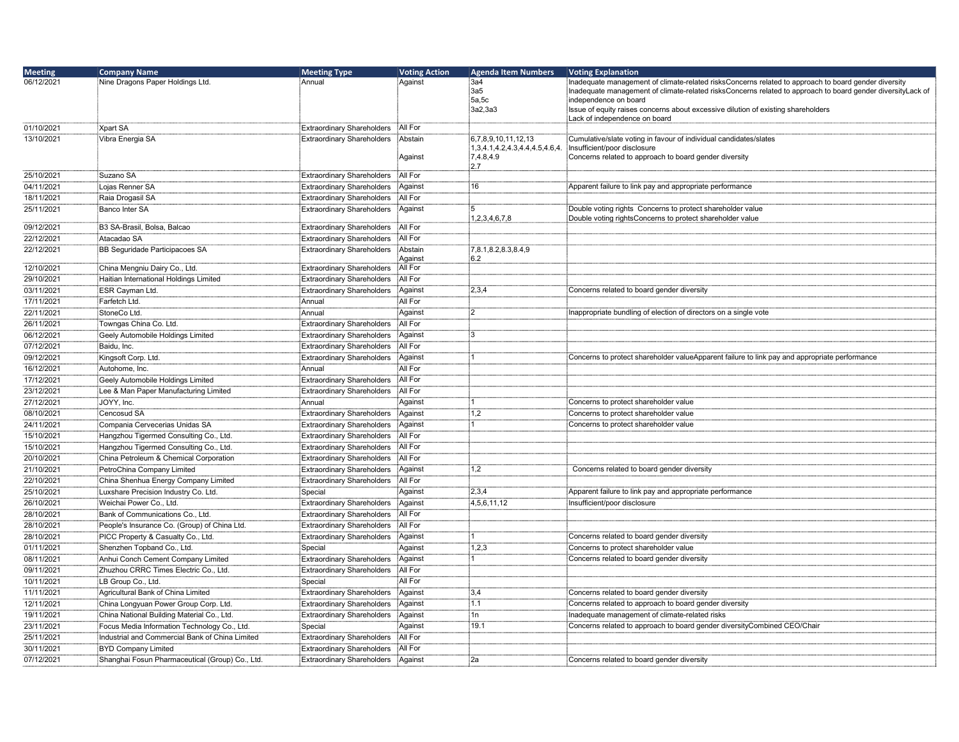| <b>Meeting</b>           | <b>Company Name</b>                                                    | <b>Meeting Type</b>                                                    | <b>Voting Action</b> | <b>Agenda Item Numbers</b>     | <b>Voting Explanation</b>                                                                                   |
|--------------------------|------------------------------------------------------------------------|------------------------------------------------------------------------|----------------------|--------------------------------|-------------------------------------------------------------------------------------------------------------|
| 06/12/2021               | Nine Dragons Paper Holdings Ltd.                                       | Annual                                                                 | Against              | 3a4                            | Inadequate management of climate-related risksConcerns related to approach to board gender diversity        |
|                          |                                                                        |                                                                        |                      | 3a5:                           | Inadequate management of climate-related risksConcerns related to approach to board gender diversityLack of |
|                          |                                                                        |                                                                        |                      | 5a,5c<br>3a2,3a3               | independence on board<br>Issue of equity raises concerns about excessive dilution of existing shareholders  |
|                          |                                                                        |                                                                        |                      |                                | Lack of independence on board                                                                               |
| 01/10/2021               | Xpart SA                                                               | <b>Extraordinary Shareholders</b>                                      | All For              |                                |                                                                                                             |
| 13/10/2021               | Vibra Energia SA                                                       | <b>Extraordinary Shareholders</b>                                      | Abstain              | 6,7,8,9,10,11,12,13            | Cumulative/slate voting in favour of individual candidates/slates                                           |
|                          |                                                                        |                                                                        |                      | 1,3,4.1,4.2,4.3,4.4,4.5,4.6,4. | Insufficient/poor disclosure                                                                                |
|                          |                                                                        |                                                                        | Against              | 7,4.8,4.9<br>2.7               | Concerns related to approach to board gender diversity                                                      |
| 25/10/2021               | Suzano SA                                                              | <b>Extraordinary Shareholders</b>                                      | All For              |                                |                                                                                                             |
| 04/11/2021               | Lojas Renner SA                                                        | <b>Extraordinary Shareholders</b>                                      | Against              | 16                             | Apparent failure to link pay and appropriate performance                                                    |
| 18/11/2021               | Raia Drogasil SA                                                       | <b>Extraordinary Shareholders</b>                                      | All For              |                                |                                                                                                             |
| 25/11/2021               | Banco Inter SA                                                         | <b>Extraordinary Shareholders</b>                                      | Against              |                                | Double voting rights Concerns to protect shareholder value                                                  |
|                          |                                                                        |                                                                        |                      | 1,2,3,4,6,7,8                  | Double voting rightsConcerns to protect shareholder value                                                   |
| 09/12/2021               | B3 SA-Brasil, Bolsa, Balcao                                            | <b>Extraordinary Shareholders</b>                                      | All For              |                                |                                                                                                             |
| 22/12/2021               | Atacadao SA                                                            | <b>Extraordinary Shareholders</b>                                      | All For              |                                |                                                                                                             |
| 22/12/2021               | BB Seguridade Participacoes SA                                         | <b>Extraordinary Shareholders</b>                                      | Abstain<br>Against   | 7,8.1,8.2,8.3,8.4,9<br>6.2     |                                                                                                             |
| 12/10/2021               | China Mengniu Dairy Co., Ltd.                                          | <b>Extraordinary Shareholders</b>                                      | All For              |                                |                                                                                                             |
| 29/10/2021               | Haitian International Holdings Limited                                 | <b>Extraordinary Shareholders</b>                                      | All For              |                                |                                                                                                             |
| 03/11/2021               | ESR Cayman Ltd.                                                        | <b>Extraordinary Shareholders</b>                                      | Against              | 2,3,4                          | Concerns related to board gender diversity                                                                  |
| 17/11/2021               | Farfetch Ltd.                                                          | Annual                                                                 | All For              |                                |                                                                                                             |
| 22/11/2021               | StoneCo Ltd.                                                           | Annual                                                                 | Against              | :2                             | Inappropriate bundling of election of directors on a single vote                                            |
| 26/11/2021               | Towngas China Co. Ltd.                                                 | <b>Extraordinary Shareholders</b>                                      | All For              |                                |                                                                                                             |
| 06/12/2021               | Geely Automobile Holdings Limited                                      | <b>Extraordinary Shareholders</b>                                      | Against              | iЗ                             |                                                                                                             |
| 07/12/2021               | Baidu, Inc.                                                            | <b>Extraordinary Shareholders</b>                                      | All For              |                                |                                                                                                             |
| 09/12/2021               | Kingsoft Corp. Ltd.                                                    | <b>Extraordinary Shareholders</b>                                      | Against              |                                | Concerns to protect shareholder valueApparent failure to link pay and appropriate performance               |
| 16/12/2021               | :Autohome, Inc.                                                        | Annual                                                                 | All For              |                                |                                                                                                             |
| 17/12/2021               | Geely Automobile Holdings Limited                                      | <b>Extraordinary Shareholders</b>                                      | All For              |                                |                                                                                                             |
| 23/12/2021               | Lee & Man Paper Manufacturing Limited                                  | <b>Extraordinary Shareholders</b>                                      | All For              |                                |                                                                                                             |
| 27/12/2021               | JOYY, Inc.                                                             | Annual                                                                 | Against              |                                | Concerns to protect shareholder value                                                                       |
| 08/10/2021               | Cencosud SA                                                            | <b>Extraordinary Shareholders</b>                                      | Against              | 1,2                            | Concerns to protect shareholder value                                                                       |
| 24/11/2021               | Compania Cervecerias Unidas SA                                         | <b>Extraordinary Shareholders</b>                                      | Against              |                                | Concerns to protect shareholder value                                                                       |
| 15/10/2021               | Hangzhou Tigermed Consulting Co., Ltd.                                 | <b>Extraordinary Shareholders</b>                                      | All For              |                                |                                                                                                             |
| 15/10/2021               | Hangzhou Tigermed Consulting Co., Ltd.                                 | <b>Extraordinary Shareholders</b>                                      | All For              |                                |                                                                                                             |
| 20/10/2021               | China Petroleum & Chemical Corporation                                 | <b>Extraordinary Shareholders</b>                                      | All For              |                                |                                                                                                             |
| 21/10/2021               | PetroChina Company Limited                                             | <b>Extraordinary Shareholders</b>                                      | Against              | 1,2                            | Concerns related to board gender diversity                                                                  |
| 22/10/2021               | China Shenhua Energy Company Limited                                   | <b>Extraordinary Shareholders</b>                                      | All For              |                                |                                                                                                             |
| 25/10/2021               | Luxshare Precision Industry Co. Ltd.                                   | Special                                                                | Against              | 2,3,4                          | Apparent failure to link pay and appropriate performance                                                    |
| 26/10/2021               | Weichai Power Co., Ltd.                                                | <b>Extraordinary Shareholders</b>                                      | Against              | 4,5,6,11,12                    | Insufficient/poor disclosure                                                                                |
| 28/10/2021               | Bank of Communications Co., Ltd.                                       | <b>Extraordinary Shareholders</b>                                      | All For              |                                |                                                                                                             |
| 28/10/2021               | People's Insurance Co. (Group) of China Ltd.                           | <b>Extraordinary Shareholders</b>                                      | All For              |                                |                                                                                                             |
| 28/10/2021               | PICC Property & Casualty Co., Ltd.                                     | <b>Extraordinary Shareholders</b>                                      | Against              |                                | Concerns related to board gender diversity                                                                  |
| 01/11/2021               | Shenzhen Topband Co., Ltd.                                             | Special                                                                | Against              | 1,2,3                          | Concerns to protect shareholder value                                                                       |
| 08/11/2021               | Anhui Conch Cement Company Limited                                     | <b>Extraordinary Shareholders</b>                                      | Against              |                                | Concerns related to board gender diversity                                                                  |
| 09/11/2021               | Zhuzhou CRRC Times Electric Co., Ltd.                                  | <b>Extraordinary Shareholders</b>                                      | All For              |                                |                                                                                                             |
| 10/11/2021               | LB Group Co., Ltd.                                                     | Special                                                                | All For              |                                |                                                                                                             |
| 11/11/2021               | Agricultural Bank of China Limited                                     | <b>Extraordinary Shareholders</b>                                      | Against              | :3,4                           | Concerns related to board gender diversity                                                                  |
| 12/11/2021               | China Longyuan Power Group Corp. Ltd.                                  | <b>Extraordinary Shareholders</b>                                      | Against              | 1.1                            | Concerns related to approach to board gender diversity                                                      |
| 19/11/2021               | China National Building Material Co., Ltd.                             | <b>Extraordinary Shareholders</b>                                      | Against              | 1n<br>19.1                     | Inadequate management of climate-related risks                                                              |
| 23/11/2021<br>25/11/2021 | Focus Media Information Technology Co., Ltd.                           | Special                                                                | Against<br>All For   |                                | Concerns related to approach to board gender diversityCombined CEO/Chair                                    |
| 30/11/2021               | Industrial and Commercial Bank of China Limited<br>BYD Company Limited | <b>Extraordinary Shareholders</b><br><b>Extraordinary Shareholders</b> | All For              |                                |                                                                                                             |
| 07/12/2021               | Shanghai Fosun Pharmaceutical (Group) Co., Ltd.                        | <b>Extraordinary Shareholders</b>                                      | Against              | ∶2a                            | Concerns related to board gender diversity                                                                  |
|                          |                                                                        |                                                                        |                      |                                |                                                                                                             |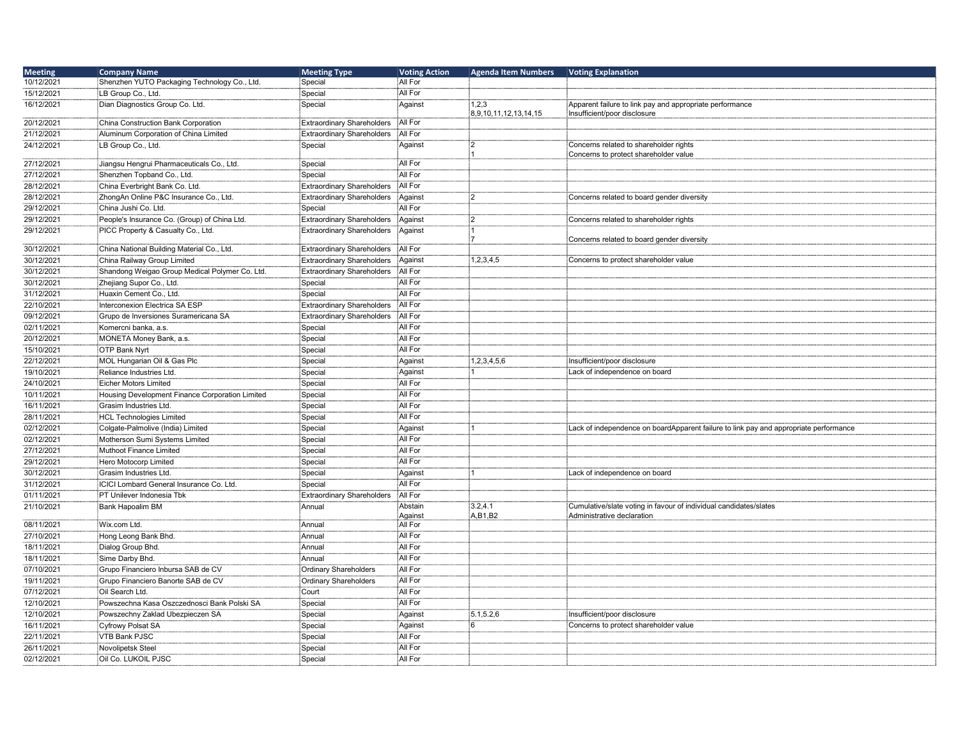| <b>Meeting</b> | <b>Company Name</b>                             | <b>Meeting Type</b>               | <b>Voting Action</b> | <b>Agenda Item Numbers</b> | <b>Voting Explanation</b>                                                             |
|----------------|-------------------------------------------------|-----------------------------------|----------------------|----------------------------|---------------------------------------------------------------------------------------|
| 10/12/2021     | Shenzhen YUTO Packaging Technology Co., Ltd.    | Special                           | All For              |                            |                                                                                       |
| 15/12/2021     | LB Group Co., Ltd.                              | Special                           | All For              |                            |                                                                                       |
| 16/12/2021     | Dian Diagnostics Group Co. Ltd.                 | Special                           | Against              | 1,2,3                      | Apparent failure to link pay and appropriate performance                              |
|                |                                                 |                                   |                      | 8,9,10,11,12,13,14,15      | Insufficient/poor disclosure                                                          |
| 20/12/2021     | China Construction Bank Corporation             | <b>Extraordinary Shareholders</b> | All For              |                            |                                                                                       |
| 21/12/2021     | Aluminum Corporation of China Limited           | <b>Extraordinary Shareholders</b> | All For              |                            |                                                                                       |
| 24/12/2021     | LB Group Co., Ltd.                              | Special                           | Against              | :2                         | Concerns related to shareholder rights                                                |
| 27/12/2021     | Jiangsu Hengrui Pharmaceuticals Co., Ltd.       | Special                           | All For              |                            | Concerns to protect shareholder value                                                 |
| 27/12/2021     | Shenzhen Topband Co., Ltd.                      | Special                           | All For              |                            |                                                                                       |
| 28/12/2021     | China Everbright Bank Co. Ltd.                  | <b>Extraordinary Shareholders</b> | All For              |                            |                                                                                       |
| 28/12/2021     | ZhongAn Online P&C Insurance Co., Ltd.          | <b>Extraordinary Shareholders</b> | Against              | :2                         | Concerns related to board gender diversity                                            |
| 29/12/2021     | China Jushi Co. Ltd.                            | Special                           | All For              |                            |                                                                                       |
| 29/12/2021     | People's Insurance Co. (Group) of China Ltd.    | <b>Extraordinary Shareholders</b> | Aqainst              | $^{12}$                    | Concerns related to shareholder rights                                                |
| 29/12/2021     | PICC Property & Casualty Co., Ltd.              | Extraordinary Shareholders        | Against              |                            |                                                                                       |
|                |                                                 |                                   |                      |                            | Concerns related to board gender diversity                                            |
| 30/12/2021     | China National Building Material Co., Ltd.      | <b>Extraordinary Shareholders</b> | All For              |                            |                                                                                       |
| 30/12/2021     | China Railway Group Limited                     | <b>Extraordinary Shareholders</b> | Against              | 1,2,3,4,5                  | Concerns to protect shareholder value                                                 |
| 30/12/2021     | Shandong Weigao Group Medical Polymer Co. Ltd.  | <b>Extraordinary Shareholders</b> | All For              |                            |                                                                                       |
| 30/12/2021     | Zhejiang Supor Co., Ltd.                        | Special                           | All For              |                            |                                                                                       |
| 31/12/2021     | Huaxin Cement Co., Ltd.                         | Special                           | All For              |                            |                                                                                       |
| 22/10/2021     | Interconexion Electrica SA ESP                  | <b>Extraordinary Shareholders</b> | All For              |                            |                                                                                       |
| 09/12/2021     | Grupo de Inversiones Suramericana SA            | <b>Extraordinary Shareholders</b> | All For              |                            |                                                                                       |
| 02/11/2021     | Komercni banka, a.s.                            | Special                           | All For              |                            |                                                                                       |
| 20/12/2021     | MONETA Money Bank, a.s.                         | Special                           | All For              |                            |                                                                                       |
| 15/10/2021     | OTP Bank Nyrt                                   | Special                           | All For              |                            |                                                                                       |
| 22/12/2021     | MOL Hungarian Oil & Gas Plc                     | Special                           | Against              | 1,2,3,4,5,6                | Insufficient/poor disclosure                                                          |
| 19/10/2021     | Reliance Industries Ltd.                        | Special                           | Against              |                            | Lack of independence on board                                                         |
| 24/10/2021     | Eicher Motors Limited                           | Special                           | All For              |                            |                                                                                       |
| 10/11/2021     | Housing Development Finance Corporation Limited | Special                           | All For              |                            |                                                                                       |
| 16/11/2021     | Grasim Industries Ltd.                          | Special                           | All For              |                            |                                                                                       |
| 28/11/2021     | HCL Technologies Limited                        | Special                           | All For              |                            |                                                                                       |
| 02/12/2021     | Colgate-Palmolive (India) Limited               | Special                           | Against              |                            | Lack of independence on boardApparent failure to link pay and appropriate performance |
| 02/12/2021     | Motherson Sumi Systems Limited                  | Special                           | All For              |                            |                                                                                       |
| 27/12/2021     | Muthoot Finance Limited                         | Special                           | All For              |                            |                                                                                       |
| 29/12/2021     | Hero Motocorp Limited                           | Special                           | All For              |                            |                                                                                       |
| 30/12/2021     | Grasim Industries Ltd.                          | Special                           | Against              |                            | Lack of independence on board                                                         |
| 31/12/2021     | ICICI Lombard General Insurance Co. Ltd.        | Special                           | All For              |                            |                                                                                       |
| 01/11/2021     | PT Unilever Indonesia Tbk                       | <b>Extraordinary Shareholders</b> | All For              |                            |                                                                                       |
| 21/10/2021     | Bank Hapoalim BM                                | Annual                            | Abstain              | 3.2,4.1                    | Cumulative/slate voting in favour of individual candidates/slates                     |
| 08/11/2021     | Wix.com Ltd.                                    | Annual                            | Against<br>All For   | A, B1, B2                  | Administrative declaration                                                            |
| 27/10/2021     | Hong Leong Bank Bhd.                            | Annual                            | All For              |                            |                                                                                       |
| 18/11/2021     | Dialog Group Bhd                                | : Annual                          | All For              |                            |                                                                                       |
| 18/11/2021     | Sime Darby Bhd.                                 | Annual                            | All For              |                            |                                                                                       |
| 07/10/2021     | Grupo Financiero Inbursa SAB de CV              | <b>Ordinary Shareholders</b>      | All For              |                            |                                                                                       |
| 19/11/2021     | Grupo Financiero Banorte SAB de CV              | <b>Ordinary Shareholders</b>      | All For              |                            |                                                                                       |
| 07/12/2021     | Oil Search Ltd.                                 | Court                             | All For              |                            |                                                                                       |
| 12/10/2021     | Powszechna Kasa Oszczednosci Bank Polski SA     | Special                           | All For              |                            |                                                                                       |
| 12/10/2021     | Powszechny Zaklad Ubezpieczen SA                | Special                           | Against              | 5.1, 5.2, 6                | Insufficient/poor disclosure                                                          |
| 16/11/2021     | Cyfrowy Polsat SA                               | Special                           | Against              | :6                         | Concerns to protect shareholder value                                                 |
| 22/11/2021     | VTB Bank PJSC                                   | Special                           | All For              |                            |                                                                                       |
| 26/11/2021     | Novolipetsk Steel                               | Special                           | All For              |                            |                                                                                       |
| 02/12/2021     | Oil Co. LUKOIL PJSC                             | Special                           | All For              |                            |                                                                                       |
|                |                                                 |                                   |                      |                            |                                                                                       |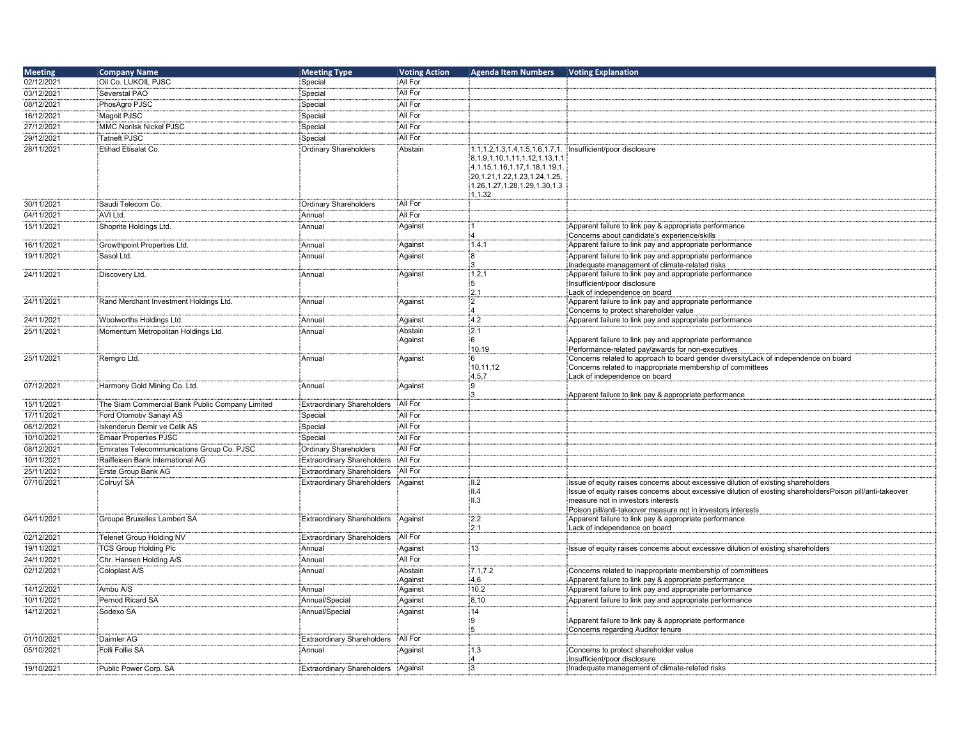| <b>Meeting</b> | <b>Company Name</b>                             | <b>Meeting Type</b>               | <b>Voting Action</b> | <b>Agenda Item Numbers</b>                                                                                                                               | Voting Explanation                                                                                                                                                                                                                                                                                    |
|----------------|-------------------------------------------------|-----------------------------------|----------------------|----------------------------------------------------------------------------------------------------------------------------------------------------------|-------------------------------------------------------------------------------------------------------------------------------------------------------------------------------------------------------------------------------------------------------------------------------------------------------|
| 02/12/2021     | Oil Co. LUKOIL PJSC                             | Special                           | All For              |                                                                                                                                                          |                                                                                                                                                                                                                                                                                                       |
| 03/12/2021     | Severstal PAO                                   | Special                           | All For              |                                                                                                                                                          |                                                                                                                                                                                                                                                                                                       |
| 08/12/2021     | PhosAgro PJSC                                   | Special                           | All For              |                                                                                                                                                          |                                                                                                                                                                                                                                                                                                       |
| 16/12/2021     | Magnit PJSC                                     | Special                           | All For              |                                                                                                                                                          |                                                                                                                                                                                                                                                                                                       |
| 27/12/2021     | MMC Norilsk Nickel PJSC                         | Special                           | All For              |                                                                                                                                                          |                                                                                                                                                                                                                                                                                                       |
| 29/12/2021     | Tatneft PJSC                                    | Special                           | All For              |                                                                                                                                                          |                                                                                                                                                                                                                                                                                                       |
| 28/11/2021     | Etihad Etisalat Co.                             | <b>Ordinary Shareholders</b>      | Abstain              | 1.1, 1.2, 1.3, 1.4, 1.5, 1.6, 1.7, 1.                                                                                                                    | Insufficient/poor disclosure                                                                                                                                                                                                                                                                          |
|                |                                                 |                                   |                      | 8,1.9,1.10,1.11,1.12,1.13,1.1<br>4, 1.15, 1.16, 1.17, 1.18, 1.19, 1.<br>20, 1.21, 1.22, 1.23, 1.24, 1.25,<br>1.26, 1.27, 1.28, 1.29, 1.30, 1.3<br>1,1.32 |                                                                                                                                                                                                                                                                                                       |
| 30/11/2021     | Saudi Telecom Co.                               | <b>Ordinary Shareholders</b>      | All For              |                                                                                                                                                          |                                                                                                                                                                                                                                                                                                       |
| 04/11/2021     | AVI Ltd.                                        | Annual                            | All For              |                                                                                                                                                          |                                                                                                                                                                                                                                                                                                       |
| 15/11/2021     | Shoprite Holdings Ltd.                          | Annual                            | Against              |                                                                                                                                                          | Apparent failure to link pay & appropriate performance<br>Concerns about candidate's experience/skills                                                                                                                                                                                                |
| 16/11/2021     | Growthpoint Properties Ltd.                     | Annual                            | Against              | 1.4.1                                                                                                                                                    | Apparent failure to link pay and appropriate performance                                                                                                                                                                                                                                              |
| 19/11/2021     | Sasol Ltd.                                      | Annual                            | Against              | :8                                                                                                                                                       | Apparent failure to link pay and appropriate performance                                                                                                                                                                                                                                              |
|                |                                                 |                                   |                      |                                                                                                                                                          | Inadequate management of climate-related risks                                                                                                                                                                                                                                                        |
| 24/11/2021     | Discovery Ltd.                                  | Annual                            | Against              | 1.2,1<br>12.1                                                                                                                                            | Apparent failure to link pay and appropriate performance<br>Insufficient/poor disclosure<br>Lack of independence on board                                                                                                                                                                             |
| 24/11/2021     | Rand Merchant Investment Holdings Ltd.          | Annual                            | Against              | :2                                                                                                                                                       | Apparent failure to link pay and appropriate performance                                                                                                                                                                                                                                              |
|                |                                                 |                                   |                      |                                                                                                                                                          | Concerns to protect shareholder value                                                                                                                                                                                                                                                                 |
| 24/11/2021     | Woolworths Holdings Ltd.                        | Annual                            | Against              | 4.2                                                                                                                                                      | Apparent failure to link pay and appropriate performance                                                                                                                                                                                                                                              |
| 25/11/2021     | Momentum Metropolitan Holdings Ltd.             | Annual                            | Abstain<br>Against   | :2.1<br>:6<br>10.19                                                                                                                                      | Apparent failure to link pay and appropriate performance<br>Performance-related pay/awards for non-executives                                                                                                                                                                                         |
| 25/11/2021     | Remgro Ltd.                                     | Annual                            | Against              | :6<br>10,11,12<br>4,5,7                                                                                                                                  | Concerns related to approach to board gender diversityLack of independence on board<br>Concerns related to inappropriate membership of committees<br>Lack of independence on board                                                                                                                    |
| 07/12/2021     | Harmony Gold Mining Co. Ltd.                    | Annual                            | Against              | :9                                                                                                                                                       | Apparent failure to link pay & appropriate performance                                                                                                                                                                                                                                                |
| 15/11/2021     | The Siam Commercial Bank Public Company Limited | <b>Extraordinary Shareholders</b> | All For              |                                                                                                                                                          |                                                                                                                                                                                                                                                                                                       |
| 17/11/2021     | Ford Otomotiv Sanayi AS                         | Special                           | All For              |                                                                                                                                                          |                                                                                                                                                                                                                                                                                                       |
| 06/12/2021     | Iskenderun Demir ve Celik AS                    | Special                           | All For              |                                                                                                                                                          |                                                                                                                                                                                                                                                                                                       |
| 10/10/2021     | Emaar Properties PJSC                           | Special                           | All For              |                                                                                                                                                          |                                                                                                                                                                                                                                                                                                       |
| 08/12/2021     | Emirates Telecommunications Group Co. PJSC      | <b>Ordinary Shareholders</b>      | All For              |                                                                                                                                                          |                                                                                                                                                                                                                                                                                                       |
| 10/11/2021     | Raiffeisen Bank International AG                | <b>Extraordinary Shareholders</b> | All For              |                                                                                                                                                          |                                                                                                                                                                                                                                                                                                       |
| 25/11/2021     | Erste Group Bank AG                             | <b>Extraordinary Shareholders</b> | All For              |                                                                                                                                                          |                                                                                                                                                                                                                                                                                                       |
| 07/10/2021     | Colruyt SA                                      | <b>Extraordinary Shareholders</b> | Against              | II.2<br>i∥.4<br>İІ.З                                                                                                                                     | Issue of equity raises concerns about excessive dilution of existing shareholders<br>Issue of equity raises concerns about excessive dilution of existing shareholdersPoison pill/anti-takeover<br>measure not in investors interests<br>Poison pill/anti-takeover measure not in investors interests |
| 04/11/2021     | Groupe Bruxelles Lambert SA                     | <b>Extraordinary Shareholders</b> | Against              | 2.2<br>2.1                                                                                                                                               | Apparent failure to link pay & appropriate performance<br>Lack of independence on board                                                                                                                                                                                                               |
| 02/12/2021     | Telenet Group Holding NV                        | <b>Extraordinary Shareholders</b> | All For              |                                                                                                                                                          |                                                                                                                                                                                                                                                                                                       |
| 19/11/2021     | TCS Group Holding Plc                           | Annual                            | Against              | 13                                                                                                                                                       | Issue of equity raises concerns about excessive dilution of existing shareholders                                                                                                                                                                                                                     |
| 24/11/2021     | Chr. Hansen Holding A/S                         | Annual                            | All For              |                                                                                                                                                          |                                                                                                                                                                                                                                                                                                       |
| 02/12/2021     | Coloplast A/S                                   | Annual                            | Abstain<br>Against   | 7.1, 7.2<br>4,6                                                                                                                                          | Concerns related to inappropriate membership of committees<br>Apparent failure to link pay & appropriate performance                                                                                                                                                                                  |
| 14/12/2021     | Ambu A/S                                        | Annual                            | Against              | 10.2                                                                                                                                                     | Apparent failure to link pay and appropriate performance                                                                                                                                                                                                                                              |
| 10/11/2021     | Pernod Ricard SA                                | Annual/Special                    | Against              | 8,10                                                                                                                                                     | Apparent failure to link pay and appropriate performance                                                                                                                                                                                                                                              |
| 14/12/2021     | Sodexo SA                                       | Annual/Special                    | Against              | 14<br>:9                                                                                                                                                 | Apparent failure to link pay & appropriate performance<br>Concerns regarding Auditor tenure                                                                                                                                                                                                           |
| 01/10/2021     | Daimler AG                                      | <b>Extraordinary Shareholders</b> | All For              |                                                                                                                                                          |                                                                                                                                                                                                                                                                                                       |
| 05/10/2021     | <b>Folli Follie SA</b>                          | Annual                            | Against              | 1,3                                                                                                                                                      | Concerns to protect shareholder value<br>Insufficient/poor disclosure                                                                                                                                                                                                                                 |
| 19/10/2021     | Public Power Corp. SA                           | <b>Extraordinary Shareholders</b> | Aqainst              | iЗ                                                                                                                                                       | Inadequate management of climate-related risks                                                                                                                                                                                                                                                        |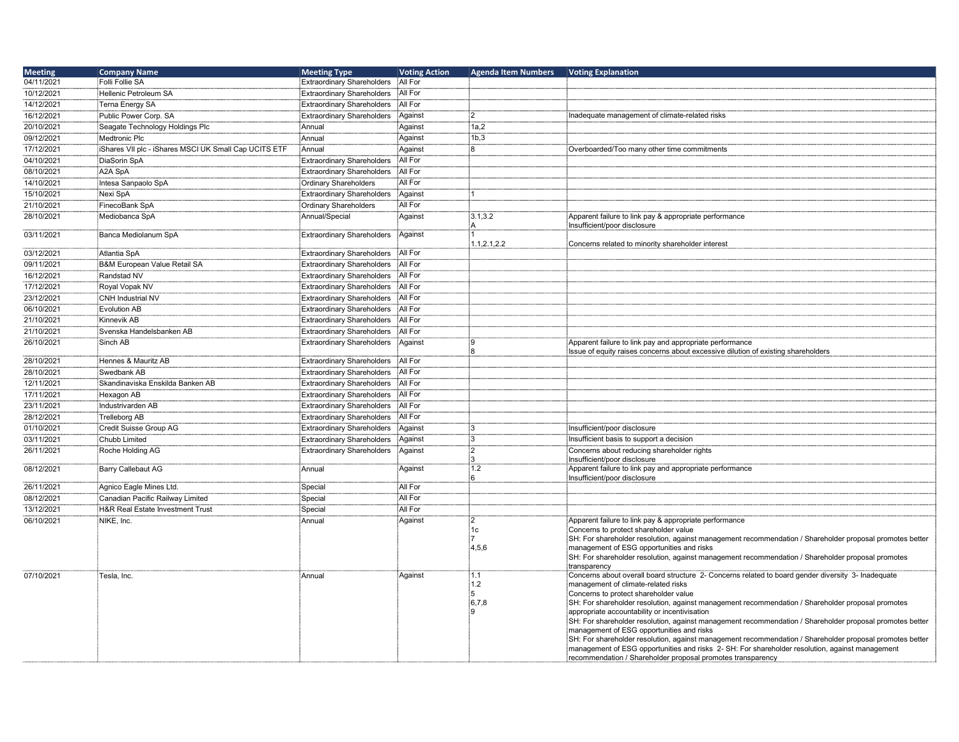| <b>Meeting</b> | <b>Company Name</b>                                  | <b>Meeting Type</b>               | <b>Voting Action</b> | <b>Agenda Item Numbers</b> | <b>Voting Explanation</b>                                                                                                                             |
|----------------|------------------------------------------------------|-----------------------------------|----------------------|----------------------------|-------------------------------------------------------------------------------------------------------------------------------------------------------|
| 04/11/2021     | Folli Follie SA                                      | <b>Extraordinary Shareholders</b> | All For              |                            |                                                                                                                                                       |
| 10/12/2021     | Hellenic Petroleum SA                                | <b>Extraordinary Shareholders</b> | All For              |                            |                                                                                                                                                       |
| 14/12/2021     | Terna Energy SA                                      | <b>Extraordinary Shareholders</b> | All For              |                            |                                                                                                                                                       |
| 16/12/2021     | Public Power Corp. SA                                | <b>Extraordinary Shareholders</b> | Against              | $\mathcal{P}$              | Inadequate management of climate-related risks                                                                                                        |
| 20/10/2021     | Seagate Technology Holdings Plc                      | Annual                            | Against              | 1a,2                       |                                                                                                                                                       |
| 09/12/2021     | Medtronic Plc                                        | Annual                            | Against              | 1b,3                       |                                                                                                                                                       |
| 17/12/2021     | Shares VII plc - iShares MSCI UK Small Cap UCITS ETF | Annual                            | Against              | ៖ឧ                         | Overboarded/Too many other time commitments                                                                                                           |
| 04/10/2021     | DiaSorin SpA                                         | <b>Extraordinary Shareholders</b> | All For              |                            |                                                                                                                                                       |
| 08/10/2021     | A2A SpA                                              | <b>Extraordinary Shareholders</b> | All For              |                            |                                                                                                                                                       |
| 14/10/2021     | Intesa Sanpaolo SpA                                  | <b>Ordinary Shareholders</b>      | All For              |                            |                                                                                                                                                       |
| 15/10/2021     | Nexi SpA                                             | <b>Extraordinary Shareholders</b> | Against              |                            |                                                                                                                                                       |
| 21/10/2021     | FinecoBank SpA                                       | <b>Ordinary Shareholders</b>      | All For              |                            |                                                                                                                                                       |
| 28/10/2021     | Mediobanca SpA                                       | Annual/Special                    | Against              | 3.1,3.2                    | Apparent failure to link pay & appropriate performance                                                                                                |
|                |                                                      |                                   |                      | А                          | Insufficient/poor disclosure                                                                                                                          |
| 03/11/2021     | Banca Mediolanum SpA                                 | <b>Extraordinary Shareholders</b> | Against              | 1.1, 2.1, 2.2              | Concerns related to minority shareholder interest                                                                                                     |
| 03/12/2021     | Atlantia SpA                                         | <b>Extraordinary Shareholders</b> | All For              |                            |                                                                                                                                                       |
| 09/11/2021     | B&M European Value Retail SA                         | <b>Extraordinary Shareholders</b> | All For              |                            |                                                                                                                                                       |
| 16/12/2021     | Randstad NV                                          | <b>Extraordinary Shareholders</b> | All For              |                            |                                                                                                                                                       |
| 17/12/2021     | Royal Vopak NV                                       | <b>Extraordinary Shareholders</b> | All For              |                            |                                                                                                                                                       |
| 23/12/2021     | <b>CNH Industrial NV</b>                             | <b>Extraordinary Shareholders</b> | All For              |                            |                                                                                                                                                       |
| 06/10/2021     | <b>Evolution AB</b>                                  | <b>Extraordinary Shareholders</b> | All For              |                            |                                                                                                                                                       |
| 21/10/2021     | Kinnevik AB                                          | <b>Extraordinary Shareholders</b> | All For              |                            |                                                                                                                                                       |
| 21/10/2021     | Svenska Handelsbanken AB                             | <b>Extraordinary Shareholders</b> | All For              |                            |                                                                                                                                                       |
| 26/10/2021     | Sinch AB                                             | <b>Extraordinary Shareholders</b> | Against              | ۱g                         | Apparent failure to link pay and appropriate performance                                                                                              |
| 28/10/2021     | Hennes & Mauritz AB                                  | <b>Extraordinary Shareholders</b> | All For              |                            | Issue of equity raises concerns about excessive dilution of existing shareholders                                                                     |
| 28/10/2021     | Swedbank AB                                          | <b>Extraordinary Shareholders</b> | All For              |                            |                                                                                                                                                       |
|                |                                                      |                                   | All For              |                            |                                                                                                                                                       |
| 12/11/2021     | Skandinaviska Enskilda Banken AB                     | <b>Extraordinary Shareholders</b> | All For              |                            |                                                                                                                                                       |
| 17/11/2021     | Hexagon AB                                           | <b>Extraordinary Shareholders</b> | All For              |                            |                                                                                                                                                       |
| 23/11/2021     | Industrivarden AB                                    | <b>Extraordinary Shareholders</b> |                      |                            |                                                                                                                                                       |
| 28/12/2021     | <b>Trelleborg AB</b>                                 | <b>Extraordinary Shareholders</b> | All For              |                            |                                                                                                                                                       |
| 01/10/2021     | Credit Suisse Group AG                               | <b>Extraordinary Shareholders</b> | Against              |                            | Insufficient/poor disclosure                                                                                                                          |
| 03/11/2021     | <b>Chubb Limited</b>                                 | <b>Extraordinary Shareholders</b> | Against              | i٩                         | Insufficient basis to support a decision                                                                                                              |
| 26/11/2021     | Roche Holding AG                                     | <b>Extraordinary Shareholders</b> | Against              | :2                         | Concerns about reducing shareholder rights<br>Insufficient/poor disclosure                                                                            |
| 08/12/2021     | Barry Callebaut AG                                   | Annual                            | Against              | 1.2                        | Apparent failure to link pay and appropriate performance                                                                                              |
|                |                                                      |                                   |                      | ÷ิคิ                       | Insufficient/poor disclosure                                                                                                                          |
| 26/11/2021     | Agnico Eagle Mines Ltd.                              | Special                           | All For              |                            |                                                                                                                                                       |
| 08/12/2021     | Canadian Pacific Railway Limited                     | Special                           | All For              |                            |                                                                                                                                                       |
| 13/12/2021     | H&R Real Estate Investment Trust                     | Special                           | All For              |                            |                                                                                                                                                       |
| 06/10/2021     | NIKE, Inc.                                           | Annual                            | Against              | $\overline{2}$             | Apparent failure to link pay & appropriate performance                                                                                                |
|                |                                                      |                                   |                      | 1c                         | Concerns to protect shareholder value                                                                                                                 |
|                |                                                      |                                   |                      | 4,5,6                      | SH: For shareholder resolution, against management recommendation / Shareholder proposal promotes better<br>management of ESG opportunities and risks |
|                |                                                      |                                   |                      |                            | SH: For shareholder resolution, against management recommendation / Shareholder proposal promotes                                                     |
|                |                                                      |                                   |                      |                            | transparency                                                                                                                                          |
| 07/10/2021     | Tesla, Inc.                                          | Annual                            | Against              | 1.1                        | Concerns about overall board structure 2- Concerns related to board gender diversity 3- Inadequate                                                    |
|                |                                                      |                                   |                      | 1.2                        | management of climate-related risks                                                                                                                   |
|                |                                                      |                                   |                      | 6,7,8                      | Concerns to protect shareholder value                                                                                                                 |
|                |                                                      |                                   |                      |                            | SH: For shareholder resolution, against management recommendation / Shareholder proposal promotes<br>appropriate accountability or incentivisation    |
|                |                                                      |                                   |                      |                            | SH: For shareholder resolution, against management recommendation / Shareholder proposal promotes better                                              |
|                |                                                      |                                   |                      |                            | management of ESG opportunities and risks                                                                                                             |
|                |                                                      |                                   |                      |                            | SH: For shareholder resolution, against management recommendation / Shareholder proposal promotes better                                              |
|                |                                                      |                                   |                      |                            | management of ESG opportunities and risks 2- SH: For shareholder resolution, against management                                                       |
|                |                                                      |                                   |                      |                            | recommendation / Shareholder proposal promotes transparency                                                                                           |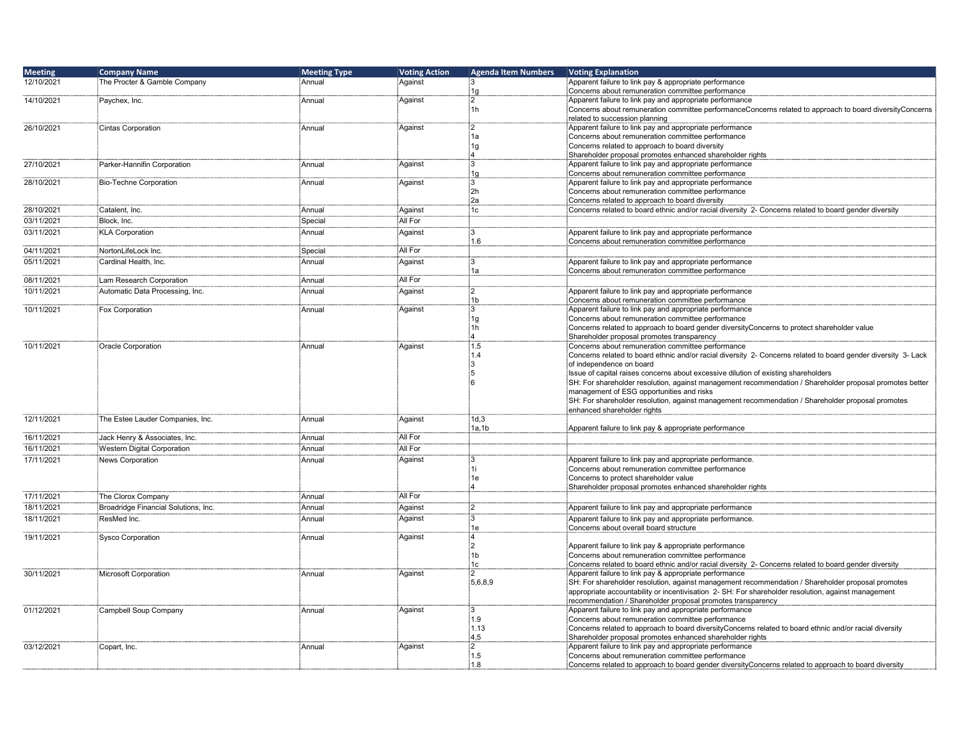| <b>Meeting</b> | <b>Company Name</b>                  | <b>Meeting Type</b> | <b>Voting Action</b> | <b>Agenda Item Numbers</b> | <b>Voting Explanation</b>                                                                                                                                            |
|----------------|--------------------------------------|---------------------|----------------------|----------------------------|----------------------------------------------------------------------------------------------------------------------------------------------------------------------|
| 12/10/2021     | The Procter & Gamble Company         | :Annual             | Against              | :3                         | Apparent failure to link pay & appropriate performance                                                                                                               |
|                |                                      |                     |                      | 1g                         | Concerns about remuneration committee performance                                                                                                                    |
| 14/10/2021     | Paychex, Inc.                        | Annual              | Against              | $\frac{1}{2}$<br>i1h       | Apparent failure to link pay and appropriate performance<br>Concerns about remuneration committee performanceConcerns related to approach to board diversityConcerns |
|                |                                      |                     |                      |                            | related to succession planning                                                                                                                                       |
| 26/10/2021     | Cintas Corporation                   | Annual              | Against              | $\mathbf{2}$               | Apparent failure to link pay and appropriate performance                                                                                                             |
|                |                                      |                     |                      | ị1a                        | Concerns about remuneration committee performance                                                                                                                    |
|                |                                      |                     |                      | 1g                         | Concerns related to approach to board diversity                                                                                                                      |
|                |                                      |                     |                      | :4                         | Shareholder proposal promotes enhanced shareholder rights                                                                                                            |
| 27/10/2021     | Parker-Hannifin Corporation          | Annual              | Against              | iз<br>1g                   | Apparent failure to link pay and appropriate performance<br>Concerns about remuneration committee performance                                                        |
| 28/10/2021     | Bio-Techne Corporation               | :<br>Annual         | Against              | :3                         | Apparent failure to link pay and appropriate performance                                                                                                             |
|                |                                      |                     |                      | 2h                         | Concerns about remuneration committee performance                                                                                                                    |
|                |                                      |                     |                      | ∮2a                        | Concerns related to approach to board diversity                                                                                                                      |
| 28/10/2021     | Catalent, Inc.                       | Annual              | Against              | ∄c                         | Concerns related to board ethnic and/or racial diversity 2- Concerns related to board gender diversity                                                               |
| 03/11/2021     | Block, Inc.                          | Special             | All For              |                            |                                                                                                                                                                      |
| 03/11/2021     | <b>KLA Corporation</b>               | Annual              | Against              | :3                         | Apparent failure to link pay and appropriate performance                                                                                                             |
|                |                                      |                     |                      | :1.6                       | Concerns about remuneration committee performance                                                                                                                    |
| 04/11/2021     | NortonLifeLock Inc.                  | Special             | All For              |                            |                                                                                                                                                                      |
| 05/11/2021     | Cardinal Health, Inc.                | Annual              | Against              | :3                         | Apparent failure to link pay and appropriate performance                                                                                                             |
| 08/11/2021     | Lam Research Corporation             | : Annual            | All For              | 1a                         | Concerns about remuneration committee performance                                                                                                                    |
| 10/11/2021     | Automatic Data Processing, Inc.      | Annual              | Against              | $\frac{1}{2}$              | Apparent failure to link pay and appropriate performance                                                                                                             |
|                |                                      |                     |                      | 1 <sub>b</sub>             | Concerns about remuneration committee performance                                                                                                                    |
| 10/11/2021     | Fox Corporation                      | Annual              | Against              | 3                          | Apparent failure to link pay and appropriate performance                                                                                                             |
|                |                                      |                     |                      | 1g                         | Concerns about remuneration committee performance                                                                                                                    |
|                |                                      |                     |                      | ị1h                        | Concerns related to approach to board gender diversityConcerns to protect shareholder value                                                                          |
|                |                                      |                     |                      |                            | Shareholder proposal promotes transparency                                                                                                                           |
| 10/11/2021     | Oracle Corporation                   | Annual              | Against              | 1.5<br>:1.4                | Concerns about remuneration committee performance<br>Concerns related to board ethnic and/or racial diversity 2- Concerns related to board gender diversity 3- Lack  |
|                |                                      |                     |                      | iз                         | of independence on board                                                                                                                                             |
|                |                                      |                     |                      | :5                         | Issue of capital raises concerns about excessive dilution of existing shareholders                                                                                   |
|                |                                      |                     |                      | ់ត                         | SH: For shareholder resolution, against management recommendation / Shareholder proposal promotes better                                                             |
|                |                                      |                     |                      |                            | management of ESG opportunities and risks                                                                                                                            |
|                |                                      |                     |                      |                            | SH: For shareholder resolution, against management recommendation / Shareholder proposal promotes                                                                    |
| 12/11/2021     | The Estee Lauder Companies, Inc.     | Annual              | Against              | 1d,3                       | enhanced shareholder rights                                                                                                                                          |
|                |                                      |                     |                      | 1a,1b                      | Apparent failure to link pay & appropriate performance                                                                                                               |
| 16/11/2021     | Jack Henry & Associates, Inc.        | Annual              | All For              |                            |                                                                                                                                                                      |
| 16/11/2021     | Western Digital Corporation          | Annual              | All For              |                            |                                                                                                                                                                      |
| 17/11/2021     | News Corporation                     | Annual              | Against              | :3                         | Apparent failure to link pay and appropriate performance.                                                                                                            |
|                |                                      |                     |                      | ∄1i                        | Concerns about remuneration committee performance                                                                                                                    |
|                |                                      |                     |                      | ┊1e                        | Concerns to protect shareholder value                                                                                                                                |
|                |                                      |                     |                      | ٠4                         | Shareholder proposal promotes enhanced shareholder rights                                                                                                            |
| 17/11/2021     | The Clorox Company                   | : Annual            | All For              |                            |                                                                                                                                                                      |
| 18/11/2021     | Broadridge Financial Solutions, Inc. | Annual              | Against              | $\frac{1}{2}$              | Apparent failure to link pay and appropriate performance                                                                                                             |
| 18/11/2021     | ResMed Inc.                          | Annual              | Against              | із                         | Apparent failure to link pay and appropriate performance.                                                                                                            |
| 19/11/2021     | <b>Sysco Corporation</b>             | :<br>Annual         | Against              | 1e<br>-4                   | Concerns about overall board structure                                                                                                                               |
|                |                                      |                     |                      | $\overline{2}$             | Apparent failure to link pay & appropriate performance                                                                                                               |
|                |                                      |                     |                      | ‡1b                        | Concerns about remuneration committee performance                                                                                                                    |
|                |                                      |                     |                      | 1c                         | Concerns related to board ethnic and/or racial diversity 2- Concerns related to board gender diversity                                                               |
| 30/11/2021     | Microsoft Corporation                | Annual              | Against              | :2                         | Apparent failure to link pay & appropriate performance                                                                                                               |
|                |                                      |                     |                      | 15,6,8,9                   | SH: For shareholder resolution, against management recommendation / Shareholder proposal promotes                                                                    |
|                |                                      |                     |                      |                            | appropriate accountability or incentivisation 2- SH: For shareholder resolution, against management                                                                  |
| 01/12/2021     | Campbell Soup Company                | Annual              | Against              | :3                         | recommendation / Shareholder proposal promotes transparency<br>Apparent failure to link pay and appropriate performance                                              |
|                |                                      |                     |                      | 1.9                        | Concerns about remuneration committee performance                                                                                                                    |
|                |                                      |                     |                      | 1.13                       | Concerns related to approach to board diversityConcerns related to board ethnic and/or racial diversity                                                              |
|                |                                      |                     |                      | 4.5                        | Shareholder proposal promotes enhanced shareholder rights                                                                                                            |
| 03/12/2021     | Copart, Inc.                         | :<br>Annual         | Against              | :2                         | Apparent failure to link pay and appropriate performance                                                                                                             |
|                |                                      |                     |                      | 1.5                        | Concerns about remuneration committee performance                                                                                                                    |
|                |                                      |                     |                      | 1.8                        | Concerns related to approach to board gender diversityConcerns related to approach to board diversity                                                                |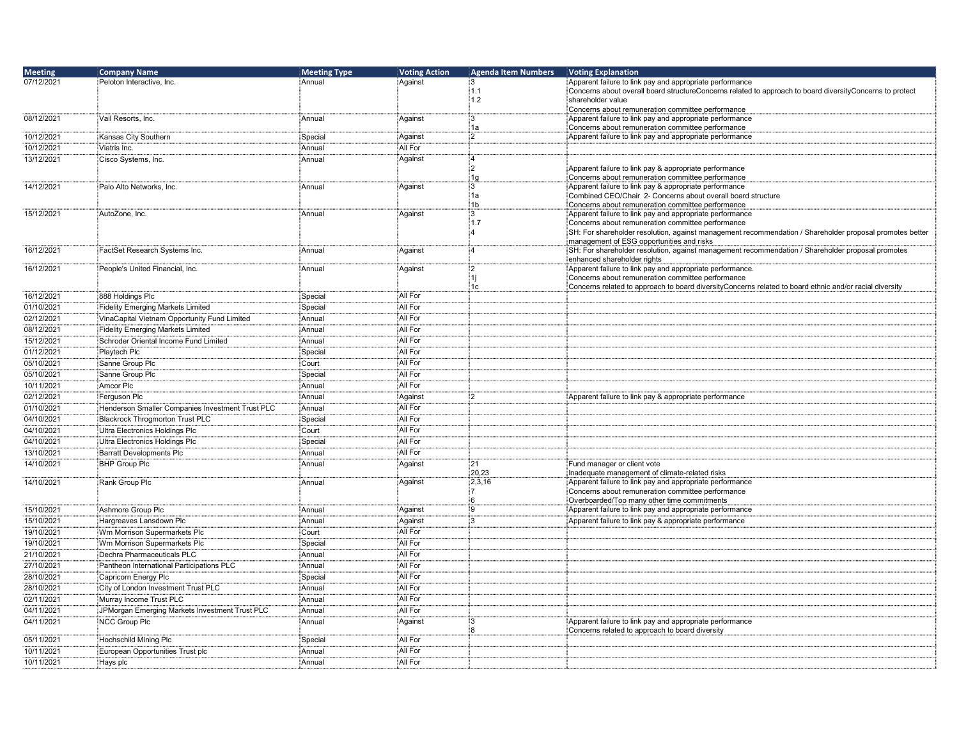| <b>Meeting</b> | <b>Company Name</b>                              | <b>Meeting Type</b> | <b>Voting Action</b> | <b>Agenda Item Numbers</b> | <b>Voting Explanation</b>                                                                                                                             |
|----------------|--------------------------------------------------|---------------------|----------------------|----------------------------|-------------------------------------------------------------------------------------------------------------------------------------------------------|
| 07/12/2021     | Peloton Interactive, Inc.                        | Annual              | Against              | ፡3                         | Apparent failure to link pay and appropriate performance                                                                                              |
|                |                                                  |                     |                      | 1.1                        | Concerns about overall board structureConcerns related to approach to board diversityConcerns to protect                                              |
|                |                                                  |                     |                      | 1.2                        | shareholder value<br>Concerns about remuneration committee performance                                                                                |
| 08/12/2021     | Vail Resorts, Inc.                               | Annual              | Against              | iЗ                         | Apparent failure to link pay and appropriate performance                                                                                              |
|                |                                                  |                     |                      | 1a                         | Concerns about remuneration committee performance                                                                                                     |
| 10/12/2021     | Kansas City Southern                             | Special             | Against              | :2                         | Apparent failure to link pay and appropriate performance                                                                                              |
| 10/12/2021     | Viatris Inc.                                     | Annual              | All For              |                            |                                                                                                                                                       |
| 13/12/2021     | Cisco Systems, Inc.                              | Annual              | Against              | :4                         |                                                                                                                                                       |
|                |                                                  |                     |                      | :2                         | Apparent failure to link pay & appropriate performance                                                                                                |
| 14/12/2021     |                                                  | Annual              | Against              | 1g<br>iЗ                   | Concerns about remuneration committee performance<br>Apparent failure to link pay & appropriate performance                                           |
|                | Palo Alto Networks, Inc.                         |                     |                      | 1a                         | Combined CEO/Chair 2- Concerns about overall board structure                                                                                          |
|                |                                                  |                     |                      | 1 <sub>b</sub>             | Concerns about remuneration committee performance                                                                                                     |
| 15/12/2021     | AutoZone, Inc.                                   | Annual              | Against              | :3                         | Apparent failure to link pay and appropriate performance                                                                                              |
|                |                                                  |                     |                      | 1.7                        | Concerns about remuneration committee performance                                                                                                     |
|                |                                                  |                     |                      |                            | SH: For shareholder resolution, against management recommendation / Shareholder proposal promotes better<br>management of ESG opportunities and risks |
| 16/12/2021     | FactSet Research Systems Inc.                    | Annual              | Against              | :4                         | SH: For shareholder resolution, against management recommendation / Shareholder proposal promotes                                                     |
|                |                                                  |                     |                      |                            | enhanced shareholder rights                                                                                                                           |
| 16/12/2021     | People's United Financial, Inc.                  | Annual              | Against              | :2                         | Apparent failure to link pay and appropriate performance.                                                                                             |
|                |                                                  |                     |                      |                            | Concerns about remuneration committee performance                                                                                                     |
|                |                                                  |                     | All For              | 1c                         | Concerns related to approach to board diversityConcerns related to board ethnic and/or racial diversity                                               |
| 16/12/2021     | 888 Holdings Plc                                 | Special             | All For              |                            |                                                                                                                                                       |
| 01/10/2021     | Fidelity Emerging Markets Limited                | Special             | All For              |                            |                                                                                                                                                       |
| 02/12/2021     | VinaCapital Vietnam Opportunity Fund Limited     | Annual              |                      |                            |                                                                                                                                                       |
| 08/12/2021     | Fidelity Emerging Markets Limited                | Annual              | All For              |                            |                                                                                                                                                       |
| 15/12/2021     | Schroder Oriental Income Fund Limited            | Annual              | All For              |                            |                                                                                                                                                       |
| 01/12/2021     | Playtech Plc                                     | Special             | All For              |                            |                                                                                                                                                       |
| 05/10/2021     | Sanne Group Plc                                  | Court               | All For              |                            |                                                                                                                                                       |
| 05/10/2021     | Sanne Group Plc                                  | Special             | All For              |                            |                                                                                                                                                       |
| 10/11/2021     | Amcor Plc                                        | Annual              | All For              |                            |                                                                                                                                                       |
| 02/12/2021     | Ferguson Plc                                     | Annual              | Against              | :2                         | Apparent failure to link pay & appropriate performance                                                                                                |
| 01/10/2021     | Henderson Smaller Companies Investment Trust PLC | Annual              | All For              |                            |                                                                                                                                                       |
| 04/10/2021     | Blackrock Throgmorton Trust PLC                  | Special             | All For              |                            |                                                                                                                                                       |
| 04/10/2021     | Ultra Electronics Holdings Plc                   | Court               | All For              |                            |                                                                                                                                                       |
| 04/10/2021     | Ultra Electronics Holdings Plc                   | Special             | All For              |                            |                                                                                                                                                       |
| 13/10/2021     | Barratt Developments Plc                         | Annual              | All For              |                            |                                                                                                                                                       |
| 14/10/2021     | <b>BHP Group Plc</b>                             | Annual              | Against              | :21                        | Fund manager or client vote                                                                                                                           |
| 14/10/2021     | Rank Group Plc                                   |                     | Against              | 20,23<br>2,3,16            | Inadequate management of climate-related risks<br>Apparent failure to link pay and appropriate performance                                            |
|                |                                                  | Annual              |                      |                            | Concerns about remuneration committee performance                                                                                                     |
|                |                                                  |                     |                      |                            | Overboarded/Too many other time commitments                                                                                                           |
| 15/10/2021     | Ashmore Group Plc                                | Annual              | Against              | :9                         | Apparent failure to link pay and appropriate performance                                                                                              |
| 15/10/2021     | Hargreaves Lansdown Plc                          | Annual              | Against              | iЗ                         | Apparent failure to link pay & appropriate performance                                                                                                |
| 19/10/2021     | Wm Morrison Supermarkets Plc                     | Court               | All For              |                            |                                                                                                                                                       |
| 19/10/2021     | Wm Morrison Supermarkets Plc                     | Special             | All For              |                            |                                                                                                                                                       |
| 21/10/2021     | Dechra Pharmaceuticals PLC                       | Annual              | All For              |                            |                                                                                                                                                       |
| 27/10/2021     | Pantheon International Participations PLC        | Annual              | All For              |                            |                                                                                                                                                       |
| 28/10/2021     | Capricorn Energy Plc                             | Special             | All For              |                            |                                                                                                                                                       |
| 28/10/2021     | City of London Investment Trust PLC              | Annual              | All For              |                            |                                                                                                                                                       |
| 02/11/2021     | Murray Income Trust PLC                          | Annual              | All For              |                            |                                                                                                                                                       |
| 04/11/2021     | JPMorgan Emerging Markets Investment Trust PLC   | Annual              | All For              |                            |                                                                                                                                                       |
| 04/11/2021     | <b>NCC Group Plc</b>                             | Annual              | Against              | i٩                         | Apparent failure to link pay and appropriate performance                                                                                              |
|                |                                                  |                     |                      |                            | Concerns related to approach to board diversity                                                                                                       |
| 05/11/2021     | Hochschild Mining Plc                            | Special             | All For              |                            |                                                                                                                                                       |
| 10/11/2021     | European Opportunities Trust plc                 | Annual              | All For              |                            |                                                                                                                                                       |
| 10/11/2021     | Hays plc                                         | Annual              | All For              |                            |                                                                                                                                                       |